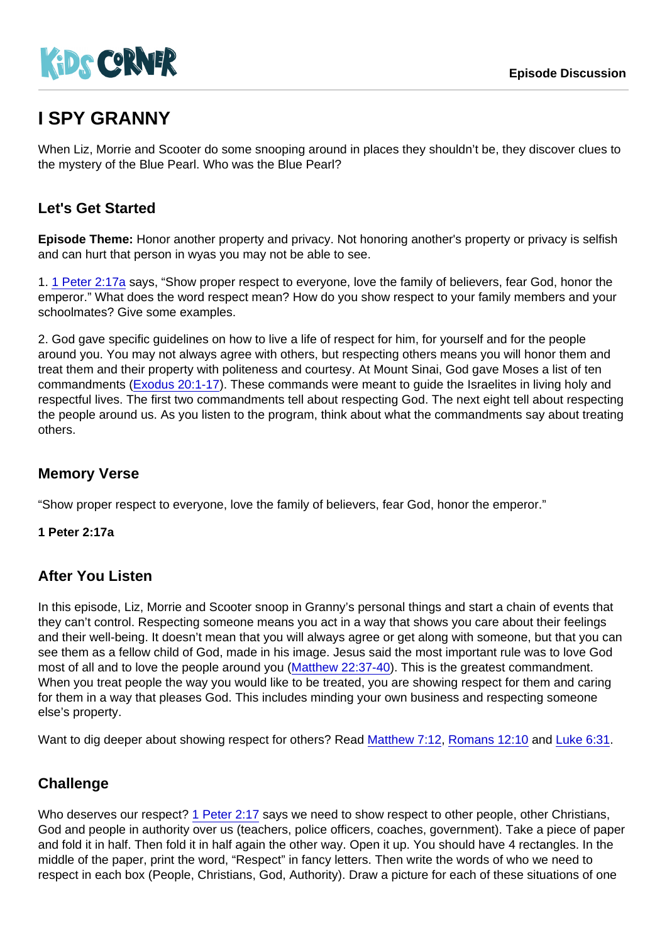# I SPY GRANNY

When Liz, Morrie and Scooter do some snooping around in places they shouldn't be, they discover clues to the mystery of the Blue Pearl. Who was the Blue Pearl?

# Let's Get Started

Episode Theme: Honor another property and privacy. Not honoring another's property or privacy is selfish and can hurt that person in wyas you may not be able to see.

1. [1 Peter 2:17a](https://www.biblegateway.com/passage/?search=1+Peter+2:17a) says, "Show proper respect to everyone, love the family of believers, fear God, honor the emperor." What does the word respect mean? How do you show respect to your family members and your schoolmates? Give some examples.

2. God gave specific guidelines on how to live a life of respect for him, for yourself and for the people around you. You may not always agree with others, but respecting others means you will honor them and treat them and their property with politeness and courtesy. At Mount Sinai, God gave Moses a list of ten commandments ([Exodus 20:1-17](https://www.biblegateway.com/passage/?search=Exodus+20:1-17)). These commands were meant to guide the Israelites in living holy and respectful lives. The first two commandments tell about respecting God. The next eight tell about respecting the people around us. As you listen to the program, think about what the commandments say about treating others.

## Memory Verse

"Show proper respect to everyone, love the family of believers, fear God, honor the emperor."

1 Peter 2:17a

#### After You Listen

In this episode, Liz, Morrie and Scooter snoop in Granny's personal things and start a chain of events that they can't control. Respecting someone means you act in a way that shows you care about their feelings and their well-being. It doesn't mean that you will always agree or get along with someone, but that you can see them as a fellow child of God, made in his image. Jesus said the most important rule was to love God most of all and to love the people around you [\(Matthew 22:37-40](https://www.biblegateway.com/passage/?search=Matthew+22:37-40)). This is the greatest commandment. When you treat people the way you would like to be treated, you are showing respect for them and caring for them in a way that pleases God. This includes minding your own business and respecting someone else's property.

Want to dig deeper about showing respect for others? Read [Matthew 7:12](https://www.biblegateway.com/passage/?search=Matthew+7:12), [Romans 12:10](https://www.biblegateway.com/passage/?search=Romans+12:10) and [Luke 6:31.](https://www.biblegateway.com/passage/?search=Luke+6:31)

#### **Challenge**

Who deserves our respect? [1 Peter 2:17](https://www.biblegateway.com/passage/?search=1+Peter+2:17) says we need to show respect to other people, other Christians, God and people in authority over us (teachers, police officers, coaches, government). Take a piece of paper and fold it in half. Then fold it in half again the other way. Open it up. You should have 4 rectangles. In the middle of the paper, print the word, "Respect" in fancy letters. Then write the words of who we need to respect in each box (People, Christians, God, Authority). Draw a picture for each of these situations of one